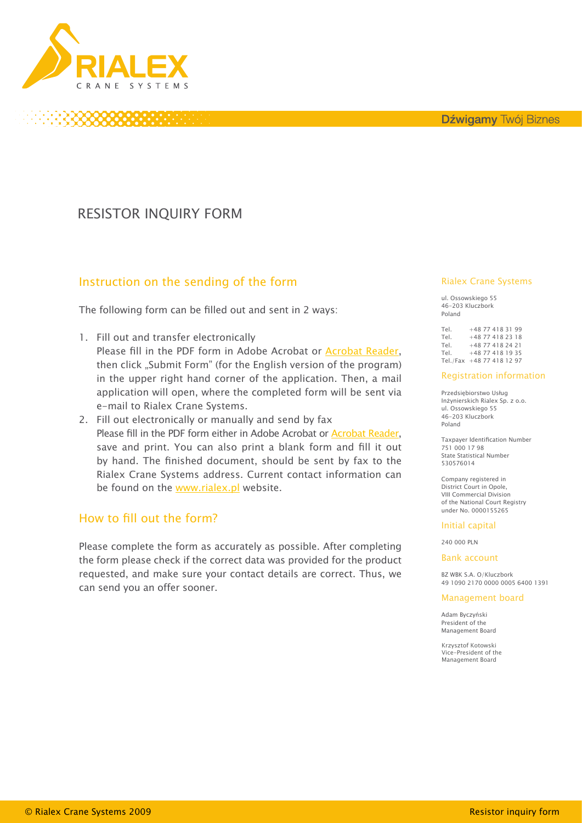

# RESISTOR INQUIRY FORM

### Instruction on the sending of the form

The following form can be filled out and sent in 2 ways:

- 1. Fill out and transfer electronically
	- Please fill in the PDF form in Adobe Acrobat or [Acrobat Reader](http://get.adobe.com/reader/), then click "Submit Form" (for the English version of the program) in the upper right hand corner of the application. Then, a mail application will open, where the completed form will be sent via e-mail to Rialex Crane Systems.
- 2. Fill out electronically or manually and send by fax Please fill in the PDF form either in Adobe Acrobat or [Acrobat Reader](http://get.adobe.com/reader/), save and print. You can also print a blank form and fill it out by hand. The finished document, should be sent by fax to the Rialex Crane Systems address. Current contact information can be found on the [www.rialex.pl](http://www.rialex.pl) website.

### How to fill out the form?

Please complete the form as accurately as possible. After completing the form please check if the correct data was provided for the product requested, and make sure your contact details are correct. Thus, we can send you an offer sooner.

### Rialex Crane Systems

ul. Ossowskiego 55 46-203 Kluczbork Poland

|  |  | +48 77 418 31 99<br>$+48$ 77 418 23 18<br>+48 77 418 24 21<br>+48 77 418 19 35<br>Tel./Fax +48 77 418 12 97 |
|--|--|-------------------------------------------------------------------------------------------------------------|

### Registration information

Przedsiębiorstwo Usług Inżynierskich Rialex Sp. z o.o. ul. Ossowskiego 55 46-203 Kluczbork Poland

Taxpayer Identification Number 751 000 17 98 State Statistical Number 530576014

Company registered in District Court in Opole, VIII Commercial Division of the National Court Registry under No. 0000155265

### Initial capital

240 000 PLN

Bank account

BZ WBK S.A. O/Kluczbork 49 1090 2170 0000 0005 6400 1391

#### Management board

Adam Byczyński President of the Management Board

Krzysztof Kotowski Vice-President of the Vice-President of the Management Board Management Board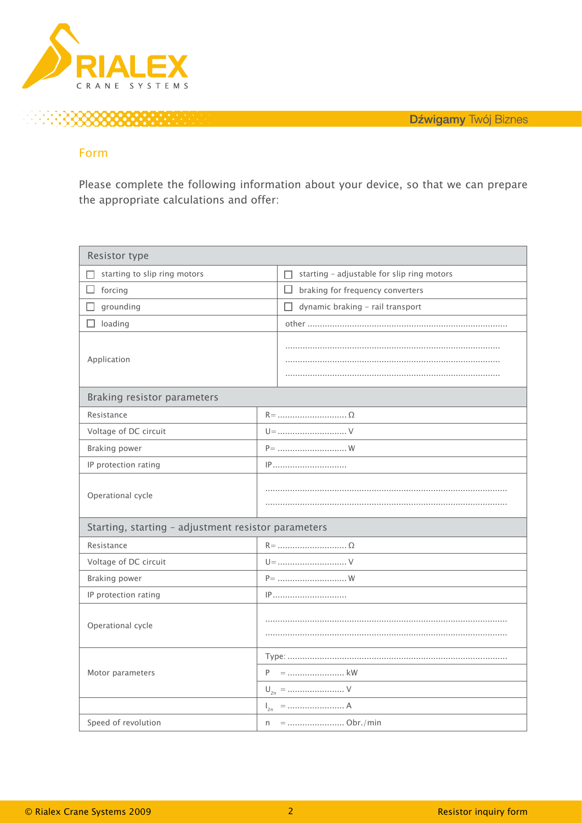

### Form

Please complete the following information about your device, so that we can prepare the appropriate calculations and offer:

| Resistor type                                       |                                                 |  |  |  |
|-----------------------------------------------------|-------------------------------------------------|--|--|--|
| starting to slip ring motors                        | starting - adjustable for slip ring motors<br>п |  |  |  |
| forcing                                             | $\Box$<br>braking for frequency converters      |  |  |  |
| grounding                                           | dynamic braking - rail transport<br>П           |  |  |  |
| loading                                             |                                                 |  |  |  |
| Application                                         |                                                 |  |  |  |
| Braking resistor parameters                         |                                                 |  |  |  |
| Resistance                                          |                                                 |  |  |  |
| Voltage of DC circuit                               | $U =$ V                                         |  |  |  |
| Braking power                                       | $P =$ W                                         |  |  |  |
| IP protection rating                                | IP                                              |  |  |  |
| Operational cycle                                   |                                                 |  |  |  |
| Starting, starting - adjustment resistor parameters |                                                 |  |  |  |
| Resistance                                          |                                                 |  |  |  |
| Voltage of DC circuit                               | $U =$ V                                         |  |  |  |
| Braking power                                       | $P =$ W                                         |  |  |  |
| IP protection rating                                | IP                                              |  |  |  |
| Operational cycle                                   |                                                 |  |  |  |
| Motor parameters                                    |                                                 |  |  |  |
|                                                     |                                                 |  |  |  |
|                                                     | $U_{2n} =$ V                                    |  |  |  |
|                                                     |                                                 |  |  |  |
| Speed of revolution                                 | n                                               |  |  |  |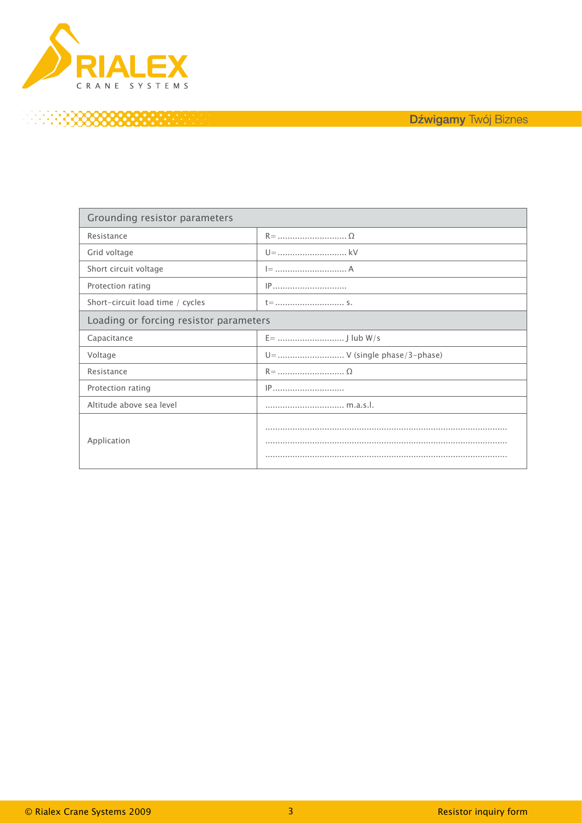

# 3333333333333333

| Grounding resistor parameters          |                               |  |  |  |
|----------------------------------------|-------------------------------|--|--|--|
| Resistance                             |                               |  |  |  |
| Grid voltage                           |                               |  |  |  |
| Short circuit voltage                  |                               |  |  |  |
| Protection rating                      |                               |  |  |  |
| Short-circuit load time / cycles       |                               |  |  |  |
| Loading or forcing resistor parameters |                               |  |  |  |
| Capacitance                            |                               |  |  |  |
| Voltage                                | U =  V (single phase/3-phase) |  |  |  |
| Resistance                             |                               |  |  |  |
| Protection rating                      |                               |  |  |  |
| Altitude above sea level               | m.a.s.l.                      |  |  |  |
| Application                            |                               |  |  |  |